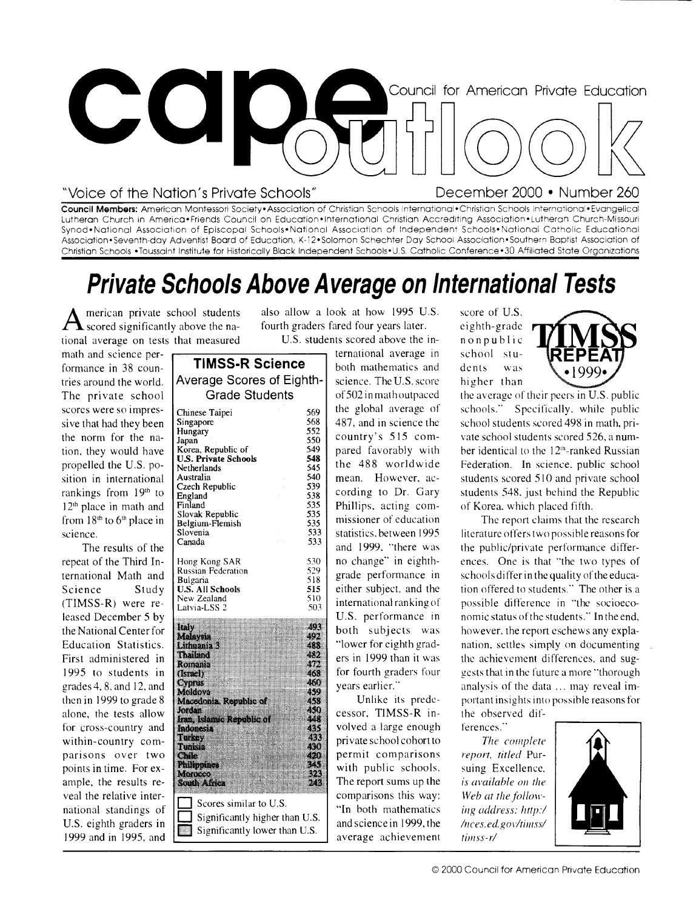

#### "Voice of the Nation's Private Schools" December 2000 • Number 260

**Council Members:** American Montessori Society• Association of Christian Schools International•Christian Schools International•Evangelical Lutheran Church in America•Friends Council on Education•International Christian Accrediting Association•Lutheran Church-Missouri Synod•National Association of Episcopal Schools• National Association of Independent Schools• National Catholic Educational Association• Seventh-day Adventist Board of Education, K-12•Solomon Schechter Day School Association•Southern Baptist Association of Christian Schools •Toussaint Institute for Historically Black Independent Schools•U.S Catholic Conference•30 Affiliated State Organizations

## **Private Schools Above Average on International Tests**

**A** merican private school students scored significantly above the national average on tests that measured

math and science performance in 38 countries around the world. The private school scores were so impressive that had they been the norm for the nation, they would have propelled the U.S. position in international rankings from 19<sup>th</sup> to  $12<sup>th</sup>$  place in math and from  $18<sup>th</sup>$  to  $6<sup>th</sup>$  place in science.

The results of the repeat of the Third International Math and Science Study (TIMSS-R) were released December 5 by the National Center for Education Statistics. First administered in 1995 to students in grades 4, 8, and 12, and then in 1999 to grade 8 alone, the tests allow for cross-country and within-country comparisons over two points in time. For example, the results reveal the relative international standings of U.S. eighth graders in 1999 and in 1995, and

|  | <b>TIMSS-R Science</b>      |              |  |
|--|-----------------------------|--------------|--|
|  | Average Scores of Eighth-   |              |  |
|  | <b>Grade Students</b>       |              |  |
|  | Chinese Taipei              | 569          |  |
|  | Singapore                   | 568          |  |
|  | Hungary                     | 552          |  |
|  | Japan                       | 550          |  |
|  | Korea, Republic of          | 549          |  |
|  | <b>U.S. Private Schools</b> | 548          |  |
|  | Netherlands                 | 545          |  |
|  | Australia                   | 540          |  |
|  | Czech Republic              | 539          |  |
|  | England                     | 538          |  |
|  | Finland                     | 535          |  |
|  | Slovak Republic             | 535          |  |
|  | Belgium-Flemish             | 535          |  |
|  | Slovenia                    | 533          |  |
|  | Canada                      | 533          |  |
|  | Hong Kong SAR               | 530          |  |
|  | <b>Russian Federation</b>   | 529          |  |
|  | Bulgaria                    | 518          |  |
|  | <b>U.S. All Schools</b>     | 515          |  |
|  | New Zealand                 | 510          |  |
|  | Latvia-LSS 2                | 503          |  |
|  |                             |              |  |
|  | KON                         | 2332         |  |
|  |                             | <b>SERVA</b> |  |



also allow a look at how 1995 U.S. fourth graders fared four years later. U.S. students scored above the in-

> both mathematics and science. The U.S. score of 502 in math outpaced the global average of 487, and in science the country's 515 compared favorably with the 488 worldwide mean. However, according to Dr. Gary Phillips, acting commissioner of education statistics, between 1995 and 1999. "there was no change" in eighthgrade performance in either subject. and the international ranking of U.S. performance in both subjects was "lower for eighth graders in 1999 than it was for fourth graders four years earlier."

ternational average in

Unlike its predecessor, TIMSS-R involved a large enough private school cohort to permit comparisons with public schools. The report sums up the comparisons this way: "In both mathematics and science in 1999, the average achievement score of U.S. eighth-grade nonpublic school stu-<br>dents was higher than



the average of their peers in U.S. public schools." Specifically, while public school students scored 498 in math, private school students scored 526, a number identical to the 12<sup>th</sup>-ranked Russian Federation. In science, public school students scored 510 and private school students 548. just behind the Republic of Korea. which placed fifth.

The report claims that the research literature offers two possible reasons for the public/private performance differences. One is that "the two types of schools differ in the quality of the education offered to students." The other is a possible difference in "the socioeconomic status of the students." In the end, however, the report eschews any explanation, settles simply on documenting the achievement differences, and suggests that in the future a more "thorough analysis of the data ... may reveal important insights into possible reasons for the observed dif-

ferences."

The complete report, titled Pursuing Excellence, *is* available on the Web at the following address: http:/ /nces.ed.gov/timss/ timss *-1/* 

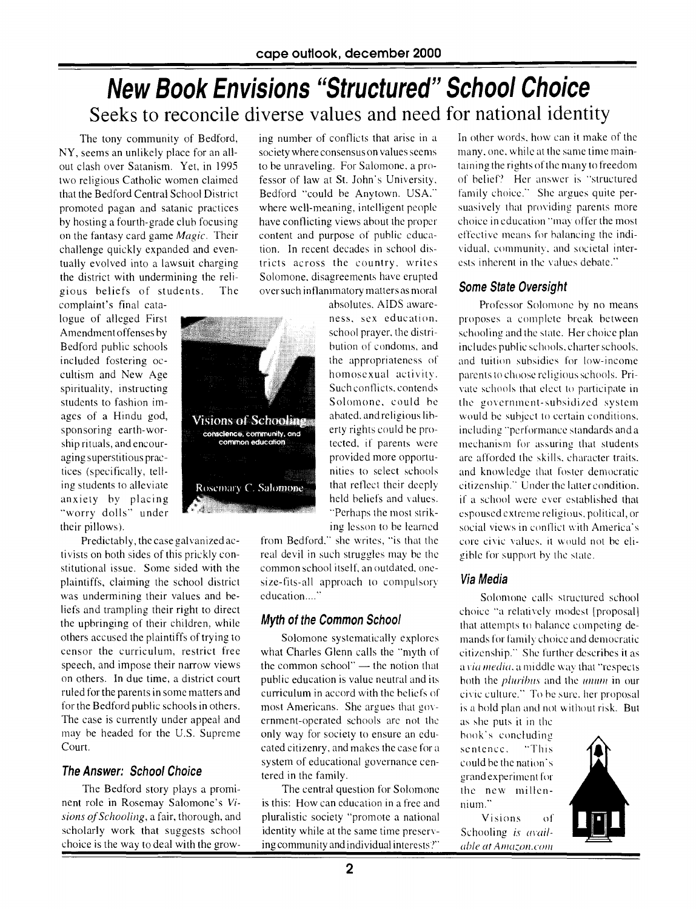### **New Book Envisions "Structured" School Choice**  Seeks to reconcile diverse values and need for national identity

The tony community of Bedford, NY, seems an unlikely place for an allout clash over Satanism. Yet, in 1995 two religious Catholic women claimed that the Bedford Central School District promoted pagan and satanic practices by hosting a fourth-grade club focusing on the fantasy card game *Magic.* Their challenge quickly expanded and eventually evolved into a lawsuit charging the district with undermining the religious beliefs of students. The

complaint's final catalogue of alleged First Amendment offenses by Bedford public schools included fostering occultism and New Age spirituality, instructing students to fashion images of a Hindu god, sponsoring earth-worship rituals, and encouraging superstitious practices (specifically, telling students to alleviate anxiety by placing "worry dolls" under their pillows).

Predictably, the case galvanized activists on both sides of this prickly constitutional issue. Some sided with the plaintiffs, claiming the school district was undermining their values and beliefs and trampling their right to direct the upbringing of their children, while others accused the plaintiffs of trying to censor the curriculum, restrict free speech, and impose their narrow views on others. In due time, a district court ruled for the parents in some matters and for the Bedford public schools in others. The case is currently under appeal and may be headed for the U.S. Supreme Court.

ing number of conflicts that arise in a society where consensus on values seems to be unraveling. For Salomone. a professor of law at St. John's University. Bedford "could be Anytown. USA." where well-meaning, intelligent people have conflicting views about the proper content and purpose of public education. In recent decades in school districts across the country, writes Solomone, disagreements have erupted over such inflammatory matters as moral

absolutes. AIDS awareness, sex education. school prayer. the distribution of condoms, and the appropriateness of homosexual activity. Such conflicts. contends Solomone, could he abated, and religious liberty rights could be protected, if parents were provided more opportunities to select schools that reflect their deeply held beliefs and values. "Perhaps the most striking lesson to be learned

from Bedford." she writes, "is that the real devil in such struggles may be the common school itself, an outdated, onesize-fits-all approach to compulsory education...."

#### **Myth of the Common School**

**The Answer: School Choice** system of educational governance cen-<br>tered in the family. grand experiment for Solomone systematically explores what Charles Glenn calls the "myth of the common school" — the notion that public education is value neutral and its curriculum in accord with the beliefs of most Americans. She argues that government-operated schools are not the only way for society to ensure an educated citizenry, and makes the case for a

The Bedford story plays a promi-<br>role in Rosemay Salomone's  $Vi-$  is this: How can education in a free and nium." nent role in Rosemay Salomone's Vi- is this: How can education in a free and inium." sions of Schooling, a fair, thorough, and pluralistic society "promote a national Visions of scholarly work that suggests school identity while at the same time preserv- Schooling *is* availchoice is the way to deal with the grow- ing community and individual interests?" able at Amazon.com

In other words, how can it make of the many. one, while at the same time maintaining the rights of the many to freedom of belief? Her answer is "structured family choice." She argues quite persuasively that providing parents more choice in education "may offer the most effective means for balancing the individual, community, and societal interests inherent in the values debate."

#### **Some State Oversight**

Professor Solomone by no means proposes a complete break between schooling and the state. Her choice plan includes public schools, charter schools. and tuition subsidies for low-income parents to choose religious schools. Private schools that elect to participate in the government-suhsidized system would he subject to certain conditions. including "performance standards and a mechanism for assuring that students are afforded the skills, character traits, and knowledge that foster democratic citizenship." Under the latter condition. if a school were ever established that espoused extreme religious, political, or social views in conflict with America's core civic values, it would not be eli gible for support by the state.

### **Via Media**

choice "a relatively modest [proposal] that attempts to balance competing demands for family choice and democratic citizenship." She further describes it as *a via* media, a middle way that "respects both the *phiribits* and the unum in our civic culture." To he sure, her proposal is a hold plan and not without risk. But Solomone calls structured school

as she puts it in the hook's concluding sentence. "This



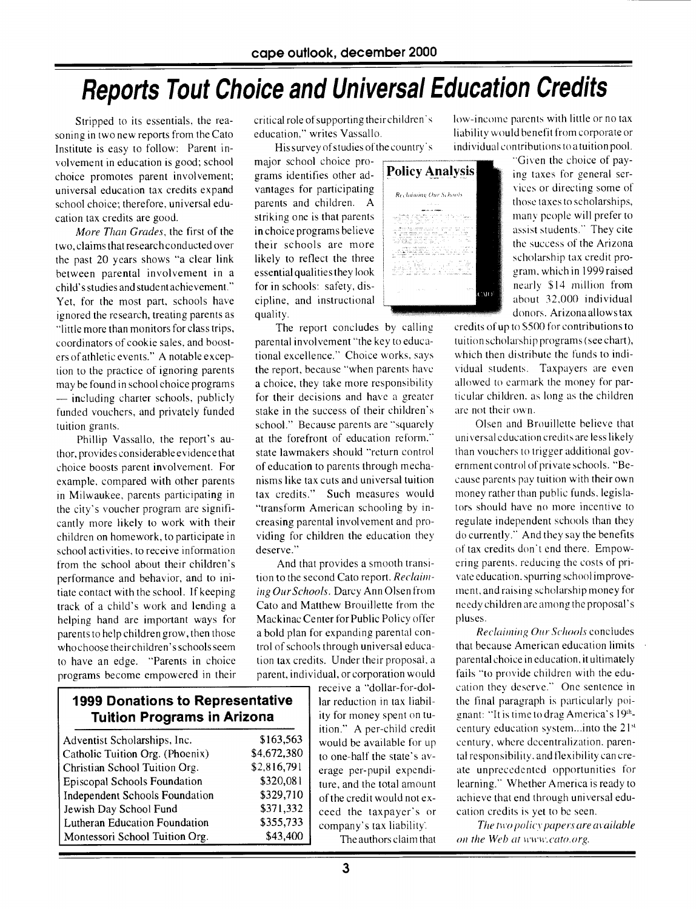# **Reports Tout Choice and Universal Education Credits**

Stripped to its essentials, the reasoning in two new reports from the Cato Institute is easy to follow: Parent involvement in education is good; school choice promotes parent involvement; universal education tax credits expand school choice; therefore, universal education tax credits are good.

*More Than Grades,* the first of the two, claims that research conducted over the past 20 years shows "a clear link between parental involvement in a child's studies and student achievement." Yet, for the most part, schools have ignored the research, treating parents as "little more than monitors for class trips, coordinators of cookie sales, and boosters of athletic events." A notable exception to the practice of ignoring parents may be found in school choice programs — including charter schools, publicly funded vouchers, and privately funded tuition grants.

Phillip Vassallo, the report's author, provides considerable evidence that choice boosts parent involvement. For example, compared with other parents in Milwaukee, parents participating in the city's voucher program are significantly more likely to work with their children on homework, to participate in school activities, to receive information from the school about their children's performance and behavior, and to initiate contact with the school. If keeping track of a child's work and lending a helping hand are important ways for parents to help children grow, then those who choose their children's schools seem to have an edge. "Parents in choice programs become empowered in their

#### **1999 Donations to Representative Tuition Programs in Arizona**

| Adventist Scholarships, Inc.          | \$163,563   |
|---------------------------------------|-------------|
| Catholic Tuition Org. (Phoenix)       | \$4,672,380 |
| Christian School Tuition Org.         | \$2,816,791 |
| <b>Episcopal Schools Foundation</b>   | \$320,081   |
| <b>Independent Schools Foundation</b> | \$329,710   |
| Jewish Day School Fund                | \$371,332   |
| Lutheran Education Foundation         | \$355,733   |
| Montessori School Tuition Org.        | \$43,400    |

critical role of supporting their children's education," writes Vassallo.

His survey of studies of the country's major school choice programs identifies other advantages for participating parents and children. A striking one is that parents in choice programs believe their schools are more likely to reflect the three essential qualities they look for in schools: safety, discipline, and instructional quality.

The report concludes by calling parental involvement "the key to educational excellence." Choice works, says the report, because "when parents have a choice, they take more responsibility for their decisions and have a greater stake in the success of their children's school." Because parents are "squarely at the forefront of education reform." state lawmakers should "return control of education to parents through mechanisms like tax cuts and universal tuition tax credits." Such measures would "transform American schooling by increasing parental involvement and providing for children the education they deserve."

And that provides a smooth transition to the second Cato report, *Reclaiming OurSchools.* Darcy Ann Olsen from Cato and Matthew Brouillette from the Mackinac Center for Public Policy offer a bold plan for expanding parental control of schools through universal education tax credits. Under their proposal, a parent, individual, or corporation would

receive a "dollar-for-dollar reduction in tax liability for money spent on tuition." A per-child credit would be available for up to one-half the state's average per-pupil expenditure, and the total amount of the credit would not exceed the taxpayer's or company's tax liability. The authors claim that low-income parents with little or no tax liability would benefit from corporate or individual contributions to a tuition pool.



"Given the choice of paying taxes for general services or directing some of those taxes to scholarships, many people will prefer to assist students." They cite the success of the Arizona scholarship tax credit prograns, which in 1999 raised nearly \$14 million from about 32,000 individual donors. Arizona allows tax

credits of up to \$500 for contributions to tuition scholarship programs (see chart), which then distribute the funds to individual students. Taxpayers are even allowed to earmark the money for particular children. as long as the children are not their own.

Olsen and Brouillette believe that universal education credits are less likely than vouchers to trigger additional government control of private schools. "Because parents pay tuition with their own money rather than public funds, legislators should have no more incentive to regulate independent schools than they do currently." And they say the benefits of tax credits don't end there. Empowering parents. reducing the costs of private education, spurring school improvement, and raising scholarship money for needy children are among the proposal's pluses.

*Reclaiming Our Schools* concludes that because American education limits parental choice in education, it ultimately fails "to provide children with the education they deserve." One sentence in the final paragraph is particularly poignant: "It is time to drag America's  $19<sup>th</sup>$ century education system...into the 21" century, where decentralization, parental responsibility, and flexibility can create unprecedented opportunities for learning." Whether America is ready to achieve that end through universal education credits is yet to be seen.

*The two policy papers are available on the Web at www.cato.org.*